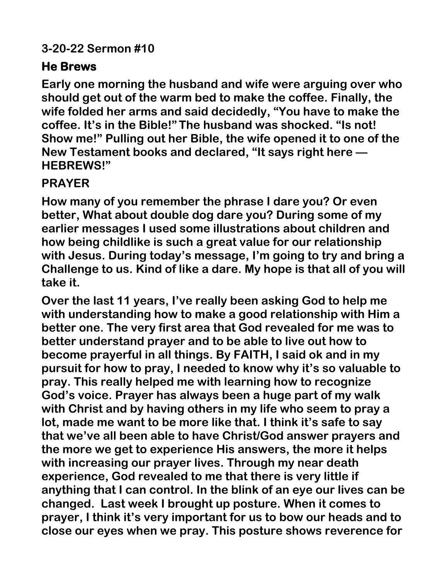## **3-20-22 Sermon #10**

## **He Brews**

**Early one morning the husband and wife were arguing over who should get out of the warm bed to make the coffee. Finally, the wife folded her arms and said decidedly, "You have to make the coffee. It's in the Bible!" The husband was shocked. "Is not! Show me!" Pulling out her Bible, the wife opened it to one of the New Testament books and declared, "It says right here — HEBREWS!"**

## **PRAYER**

**How many of you remember the phrase I dare you? Or even better, What about double dog dare you? During some of my earlier messages I used some illustrations about children and how being childlike is such a great value for our relationship with Jesus. During today's message, I'm going to try and bring a Challenge to us. Kind of like a dare. My hope is that all of you will take it.**

**Over the last 11 years, I've really been asking God to help me with understanding how to make a good relationship with Him a better one. The very first area that God revealed for me was to better understand prayer and to be able to live out how to become prayerful in all things. By FAITH, I said ok and in my pursuit for how to pray, I needed to know why it's so valuable to pray. This really helped me with learning how to recognize God's voice. Prayer has always been a huge part of my walk with Christ and by having others in my life who seem to pray a lot, made me want to be more like that. I think it's safe to say that we've all been able to have Christ/God answer prayers and the more we get to experience His answers, the more it helps with increasing our prayer lives. Through my near death experience, God revealed to me that there is very little if anything that I can control. In the blink of an eye our lives can be changed. Last week I brought up posture. When it comes to prayer, I think it's very important for us to bow our heads and to close our eyes when we pray. This posture shows reverence for**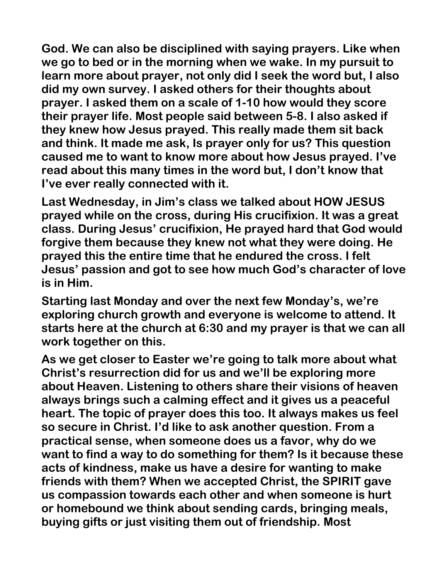**God. We can also be disciplined with saying prayers. Like when we go to bed or in the morning when we wake. In my pursuit to learn more about prayer, not only did I seek the word but, I also did my own survey. I asked others for their thoughts about prayer. I asked them on a scale of 1-10 how would they score their prayer life. Most people said between 5-8. I also asked if they knew how Jesus prayed. This really made them sit back and think. It made me ask, Is prayer only for us? This question caused me to want to know more about how Jesus prayed. I've read about this many times in the word but, I don't know that I've ever really connected with it.**

**Last Wednesday, in Jim's class we talked about HOW JESUS prayed while on the cross, during His crucifixion. It was a great class. During Jesus' crucifixion, He prayed hard that God would forgive them because they knew not what they were doing. He prayed this the entire time that he endured the cross. I felt Jesus' passion and got to see how much God's character of love is in Him.**

**Starting last Monday and over the next few Monday's, we're exploring church growth and everyone is welcome to attend. It starts here at the church at 6:30 and my prayer is that we can all work together on this.** 

**As we get closer to Easter we're going to talk more about what Christ's resurrection did for us and we'll be exploring more about Heaven. Listening to others share their visions of heaven always brings such a calming effect and it gives us a peaceful heart. The topic of prayer does this too. It always makes us feel so secure in Christ. I'd like to ask another question. From a practical sense, when someone does us a favor, why do we want to find a way to do something for them? Is it because these acts of kindness, make us have a desire for wanting to make friends with them? When we accepted Christ, the SPIRIT gave us compassion towards each other and when someone is hurt or homebound we think about sending cards, bringing meals, buying gifts or just visiting them out of friendship. Most**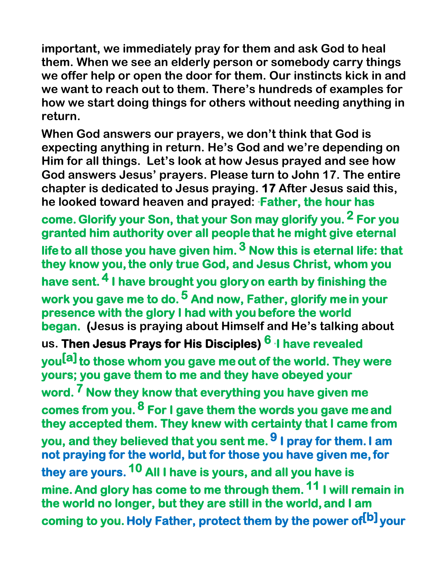**important, we immediately pray for them and ask God to heal them. When we see an elderly person or somebody carry things we offer help or open the door for them. Our instincts kick in and we want to reach out to them. There's hundreds of examples for how we start doing things for others without needing anything in return.**

**When God answers our prayers, we don't think that God is expecting anything in return. He's God and we're depending on Him for all things. Let's look at how Jesus prayed and see how God answers Jesus' prayers. Please turn to John 17. The entire chapter is dedicated to Jesus praying. 17 After Jesus said this, he looked toward heaven and prayed:** "**Father, the hour has** 

**come.Glorify your Son, that your Son may glorify you. 2 For you granted him authority over all people that he might give eternal life to all those you have given him. 3 Now this is eternal life: that they know you,the only true God, and Jesus Christ, whom you have sent. 4 I have brought you glory on earth by finishing the work you gave me to do. 5 And now, Father, glorify me in your presence with the glory I had with you before the world began. (Jesus is praying about Himself and He's talking about us. Then Jesus Prays for His Disciples) 6** "**I have revealed you[\[a\]](https://www.biblegateway.com/passage/?search=John%2017&version=NIV#fen-NIV-26766a)to those whom you gave me out of the world. They were yours; you gave them to me and they have obeyed your word. 7 Now they know that everything you have given me comes from you. 8 For I gave them the words you gave me and they accepted them. They knew with certainty that I came from you, and they believed that you sent me. 9 I pray for them.I am not praying for the world, but for those you have given me,for they are yours. 10 All I have is yours, and all you have is mine. And glory has come to me through them. 11 I will remain in the world no longer, but they are still in the world, and I am coming to you. Holy Father, protect them by the power of[\[b](https://www.biblegateway.com/passage/?search=John%2017&version=NIV#fen-NIV-26771b)] your**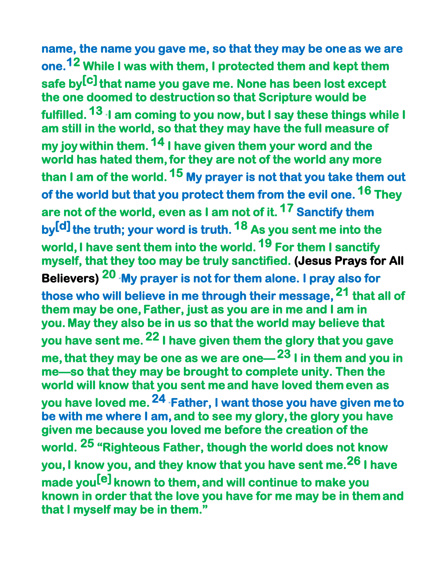**name, the name you gave me, so that they may be one as we are one.12 While I was with them, I protected them and kept them safe by[\[c\]](https://www.biblegateway.com/passage/?search=John%2017&version=NIV#fen-NIV-26772c)that name you gave me. None has been lost except the one doomed to destruction so that Scripture would be fulfilled. 13** "**I am coming to you now, but I say these things while I am still in the world, so that they may have the full measure of my joy within them. 14 I have given them your word and the**  world has hated them, for they are not of the world any more **than I am of the world. 15 My prayer is not that you take them out of the world but that you protect them from the evil one. 16 They are not of the world, even as I am not of it. 17 Sanctify them by[\[d](https://www.biblegateway.com/passage/?search=John%2017&version=NIV#fen-NIV-26777d)]the truth; your word is truth. 18 As you sent me into the**  world, I have sent them into the world. <sup>19</sup> For them I sanctify **myself, that they too may be truly sanctified. (Jesus Prays for All Believers) 20** "**My prayer is not for them alone. I pray also for those who will believe in me through their message, 21 that all of them may be one, Father, just as you are in me and I am in you. May they also be in us so that the world may believe that you have sent me. 22 I have given them the glory that you gave me,that they may be one as we are one—23 I in them and you in me—so that they may be brought to complete unity. Then the world will know that you sent me and have loved them even as you have loved me. 24** "**Father, I want those you have given me to be with me where I am, and to see my glory,the glory you have given me because you loved me before the creation of the world. 25 "Righteous Father, though the world does not know you,I know you, and they know that you have sent me.26 I have made you[[e](https://www.biblegateway.com/passage/?search=John%2017&version=NIV#fen-NIV-26786e)] known to them, and will continue to make you known in order that the love you have for me may be in them and that I myself may be in them."**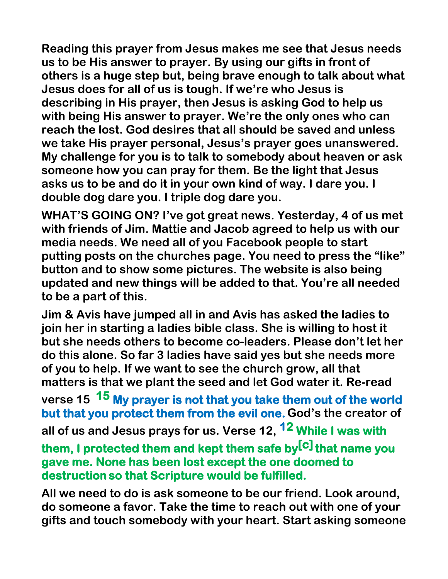**Reading this prayer from Jesus makes me see that Jesus needs us to be His answer to prayer. By using our gifts in front of others is a huge step but, being brave enough to talk about what Jesus does for all of us is tough. If we're who Jesus is describing in His prayer, then Jesus is asking God to help us with being His answer to prayer. We're the only ones who can reach the lost. God desires that all should be saved and unless we take His prayer personal, Jesus's prayer goes unanswered. My challenge for you is to talk to somebody about heaven or ask someone how you can pray for them. Be the light that Jesus asks us to be and do it in your own kind of way. I dare you. I double dog dare you. I triple dog dare you.**

**WHAT'S GOING ON? I've got great news. Yesterday, 4 of us met with friends of Jim. Mattie and Jacob agreed to help us with our media needs. We need all of you Facebook people to start putting posts on the churches page. You need to press the "like" button and to show some pictures. The website is also being updated and new things will be added to that. You're all needed to be a part of this.**

**Jim & Avis have jumped all in and Avis has asked the ladies to join her in starting a ladies bible class. She is willing to host it but she needs others to become co-leaders. Please don't let her do this alone. So far 3 ladies have said yes but she needs more of you to help. If we want to see the church grow, all that matters is that we plant the seed and let God water it. Re-read** 

**verse 15 15 My prayer is not that you take them out of the world but that you protect them from the evil one.God's the creator of all of us and Jesus prays for us. Verse 12, 12 While I was with** 

**them, I protected them and kept them safe by[\[c\]](https://www.biblegateway.com/passage/?search=John%2017&version=NIV#fen-NIV-26772c)that name you gave me. None has been lost except the one doomed to destruction so that Scripture would be fulfilled.**

**All we need to do is ask someone to be our friend. Look around, do someone a favor. Take the time to reach out with one of your gifts and touch somebody with your heart. Start asking someone**